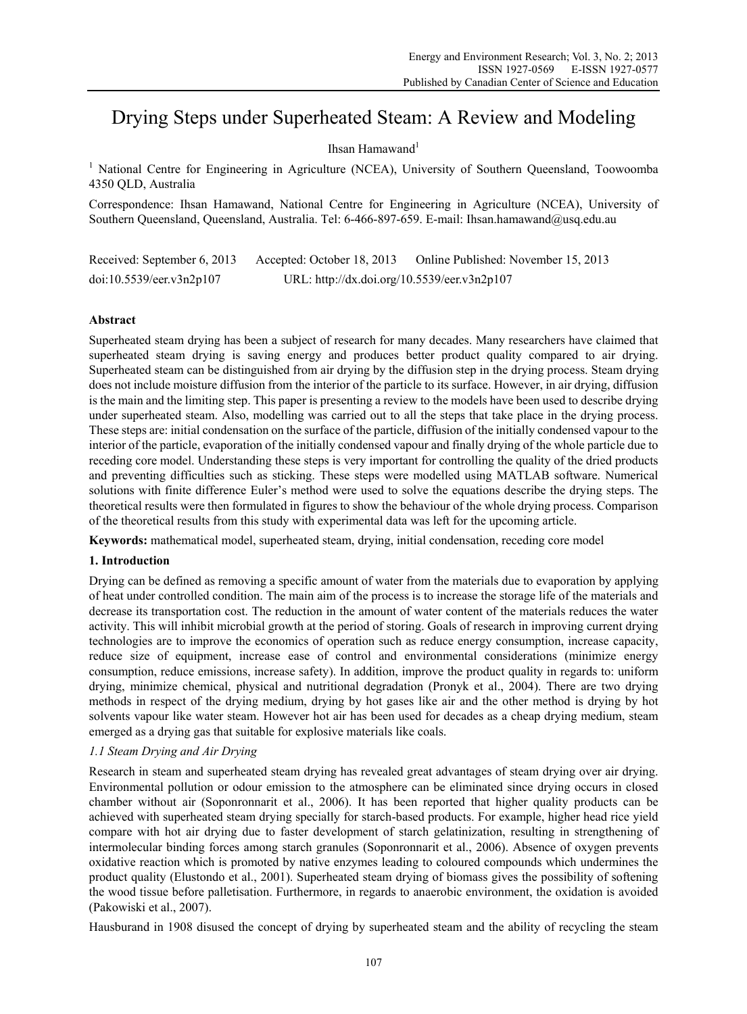# Drying Steps under Superheated Steam: A Review and Modeling

# Ihsan Hamawand $<sup>1</sup>$ </sup>

<sup>1</sup> National Centre for Engineering in Agriculture (NCEA), University of Southern Queensland, Toowoomba 4350 QLD, Australia

Correspondence: Ihsan Hamawand, National Centre for Engineering in Agriculture (NCEA), University of Southern Queensland, Queensland, Australia. Tel: 6-466-897-659. E-mail: Ihsan.hamawand@usq.edu.au

Received: September 6, 2013 Accepted: October 18, 2013 Online Published: November 15, 2013 doi:10.5539/eer.v3n2p107 URL: http://dx.doi.org/10.5539/eer.v3n2p107

# **Abstract**

Superheated steam drying has been a subject of research for many decades. Many researchers have claimed that superheated steam drying is saving energy and produces better product quality compared to air drying. Superheated steam can be distinguished from air drying by the diffusion step in the drying process. Steam drying does not include moisture diffusion from the interior of the particle to its surface. However, in air drying, diffusion is the main and the limiting step. This paper is presenting a review to the models have been used to describe drying under superheated steam. Also, modelling was carried out to all the steps that take place in the drying process. These steps are: initial condensation on the surface of the particle, diffusion of the initially condensed vapour to the interior of the particle, evaporation of the initially condensed vapour and finally drying of the whole particle due to receding core model. Understanding these steps is very important for controlling the quality of the dried products and preventing difficulties such as sticking. These steps were modelled using MATLAB software. Numerical solutions with finite difference Euler's method were used to solve the equations describe the drying steps. The theoretical results were then formulated in figures to show the behaviour of the whole drying process. Comparison of the theoretical results from this study with experimental data was left for the upcoming article.

**Keywords:** mathematical model, superheated steam, drying, initial condensation, receding core model

# **1. Introduction**

Drying can be defined as removing a specific amount of water from the materials due to evaporation by applying of heat under controlled condition. The main aim of the process is to increase the storage life of the materials and decrease its transportation cost. The reduction in the amount of water content of the materials reduces the water activity. This will inhibit microbial growth at the period of storing. Goals of research in improving current drying technologies are to improve the economics of operation such as reduce energy consumption, increase capacity, reduce size of equipment, increase ease of control and environmental considerations (minimize energy consumption, reduce emissions, increase safety). In addition, improve the product quality in regards to: uniform drying, minimize chemical, physical and nutritional degradation (Pronyk et al., 2004). There are two drying methods in respect of the drying medium, drying by hot gases like air and the other method is drying by hot solvents vapour like water steam. However hot air has been used for decades as a cheap drying medium, steam emerged as a drying gas that suitable for explosive materials like coals.

# *1.1 Steam Drying and Air Drying*

Research in steam and superheated steam drying has revealed great advantages of steam drying over air drying. Environmental pollution or odour emission to the atmosphere can be eliminated since drying occurs in closed chamber without air (Soponronnarit et al., 2006). It has been reported that higher quality products can be achieved with superheated steam drying specially for starch-based products. For example, higher head rice yield compare with hot air drying due to faster development of starch gelatinization, resulting in strengthening of intermolecular binding forces among starch granules (Soponronnarit et al., 2006). Absence of oxygen prevents oxidative reaction which is promoted by native enzymes leading to coloured compounds which undermines the product quality (Elustondo et al., 2001). Superheated steam drying of biomass gives the possibility of softening the wood tissue before palletisation. Furthermore, in regards to anaerobic environment, the oxidation is avoided (Pakowiski et al., 2007).

Hausburand in 1908 disused the concept of drying by superheated steam and the ability of recycling the steam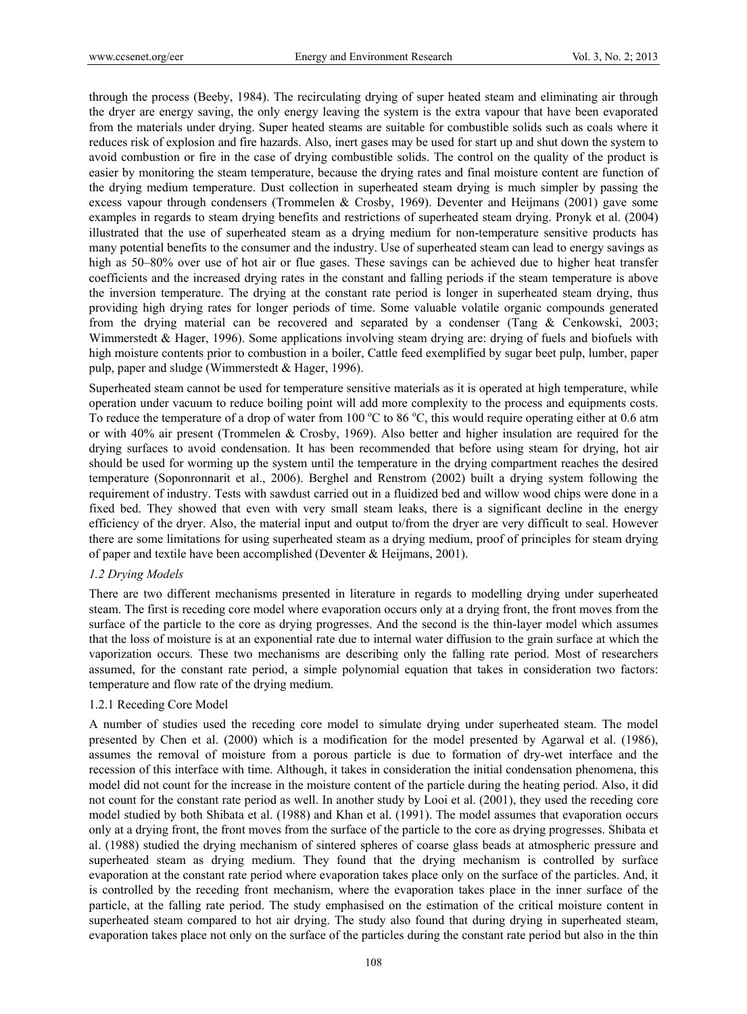through the process (Beeby, 1984). The recirculating drying of super heated steam and eliminating air through the dryer are energy saving, the only energy leaving the system is the extra vapour that have been evaporated from the materials under drying. Super heated steams are suitable for combustible solids such as coals where it reduces risk of explosion and fire hazards. Also, inert gases may be used for start up and shut down the system to avoid combustion or fire in the case of drying combustible solids. The control on the quality of the product is easier by monitoring the steam temperature, because the drying rates and final moisture content are function of the drying medium temperature. Dust collection in superheated steam drying is much simpler by passing the excess vapour through condensers (Trommelen & Crosby, 1969). Deventer and Heijmans (2001) gave some examples in regards to steam drying benefits and restrictions of superheated steam drying. Pronyk et al. (2004) illustrated that the use of superheated steam as a drying medium for non-temperature sensitive products has many potential benefits to the consumer and the industry. Use of superheated steam can lead to energy savings as high as 50–80% over use of hot air or flue gases. These savings can be achieved due to higher heat transfer coefficients and the increased drying rates in the constant and falling periods if the steam temperature is above the inversion temperature. The drying at the constant rate period is longer in superheated steam drying, thus providing high drying rates for longer periods of time. Some valuable volatile organic compounds generated from the drying material can be recovered and separated by a condenser (Tang & Cenkowski, 2003; Wimmerstedt & Hager, 1996). Some applications involving steam drying are: drying of fuels and biofuels with high moisture contents prior to combustion in a boiler, Cattle feed exemplified by sugar beet pulp, lumber, paper pulp, paper and sludge (Wimmerstedt & Hager, 1996).

Superheated steam cannot be used for temperature sensitive materials as it is operated at high temperature, while operation under vacuum to reduce boiling point will add more complexity to the process and equipments costs. To reduce the temperature of a drop of water from 100  $^{\circ}$ C to 86  $^{\circ}$ C, this would require operating either at 0.6 atm or with 40% air present (Trommelen & Crosby, 1969). Also better and higher insulation are required for the drying surfaces to avoid condensation. It has been recommended that before using steam for drying, hot air should be used for worming up the system until the temperature in the drying compartment reaches the desired temperature (Soponronnarit et al., 2006). Berghel and Renstrom (2002) built a drying system following the requirement of industry. Tests with sawdust carried out in a fluidized bed and willow wood chips were done in a fixed bed. They showed that even with very small steam leaks, there is a significant decline in the energy efficiency of the dryer. Also, the material input and output to/from the dryer are very difficult to seal. However there are some limitations for using superheated steam as a drying medium, proof of principles for steam drying of paper and textile have been accomplished (Deventer & Heijmans, 2001).

# *1.2 Drying Models*

There are two different mechanisms presented in literature in regards to modelling drying under superheated steam. The first is receding core model where evaporation occurs only at a drying front, the front moves from the surface of the particle to the core as drying progresses. And the second is the thin-layer model which assumes that the loss of moisture is at an exponential rate due to internal water diffusion to the grain surface at which the vaporization occurs. These two mechanisms are describing only the falling rate period. Most of researchers assumed, for the constant rate period, a simple polynomial equation that takes in consideration two factors: temperature and flow rate of the drying medium.

# 1.2.1 Receding Core Model

A number of studies used the receding core model to simulate drying under superheated steam. The model presented by Chen et al. (2000) which is a modification for the model presented by Agarwal et al. (1986), assumes the removal of moisture from a porous particle is due to formation of dry-wet interface and the recession of this interface with time. Although, it takes in consideration the initial condensation phenomena, this model did not count for the increase in the moisture content of the particle during the heating period. Also, it did not count for the constant rate period as well. In another study by Looi et al. (2001), they used the receding core model studied by both Shibata et al. (1988) and Khan et al. (1991). The model assumes that evaporation occurs only at a drying front, the front moves from the surface of the particle to the core as drying progresses. Shibata et al. (1988) studied the drying mechanism of sintered spheres of coarse glass beads at atmospheric pressure and superheated steam as drying medium. They found that the drying mechanism is controlled by surface evaporation at the constant rate period where evaporation takes place only on the surface of the particles. And, it is controlled by the receding front mechanism, where the evaporation takes place in the inner surface of the particle, at the falling rate period. The study emphasised on the estimation of the critical moisture content in superheated steam compared to hot air drying. The study also found that during drying in superheated steam, evaporation takes place not only on the surface of the particles during the constant rate period but also in the thin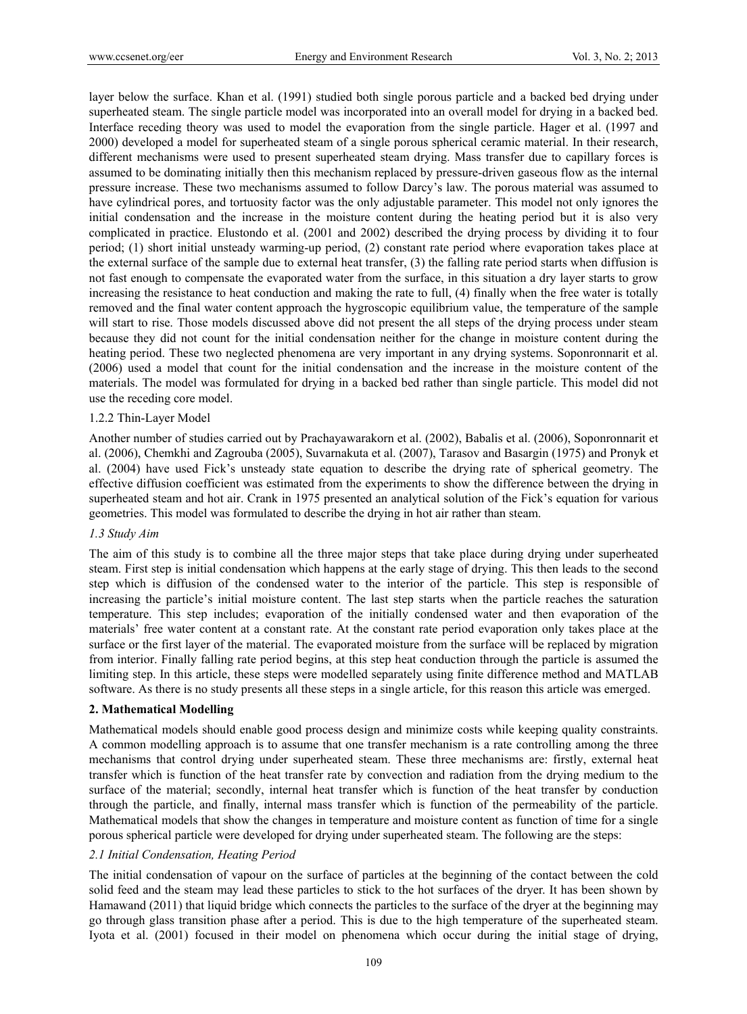layer below the surface. Khan et al. (1991) studied both single porous particle and a backed bed drying under superheated steam. The single particle model was incorporated into an overall model for drying in a backed bed. Interface receding theory was used to model the evaporation from the single particle. Hager et al. (1997 and 2000) developed a model for superheated steam of a single porous spherical ceramic material. In their research, different mechanisms were used to present superheated steam drying. Mass transfer due to capillary forces is assumed to be dominating initially then this mechanism replaced by pressure-driven gaseous flow as the internal pressure increase. These two mechanisms assumed to follow Darcy's law. The porous material was assumed to have cylindrical pores, and tortuosity factor was the only adjustable parameter. This model not only ignores the initial condensation and the increase in the moisture content during the heating period but it is also very complicated in practice. Elustondo et al. (2001 and 2002) described the drying process by dividing it to four period; (1) short initial unsteady warming-up period, (2) constant rate period where evaporation takes place at the external surface of the sample due to external heat transfer, (3) the falling rate period starts when diffusion is not fast enough to compensate the evaporated water from the surface, in this situation a dry layer starts to grow increasing the resistance to heat conduction and making the rate to full, (4) finally when the free water is totally removed and the final water content approach the hygroscopic equilibrium value, the temperature of the sample will start to rise. Those models discussed above did not present the all steps of the drying process under steam because they did not count for the initial condensation neither for the change in moisture content during the heating period. These two neglected phenomena are very important in any drying systems. Soponronnarit et al. (2006) used a model that count for the initial condensation and the increase in the moisture content of the materials. The model was formulated for drying in a backed bed rather than single particle. This model did not use the receding core model.

#### 1.2.2 Thin-Layer Model

Another number of studies carried out by Prachayawarakorn et al. (2002), Babalis et al. (2006), Soponronnarit et al. (2006), Chemkhi and Zagrouba (2005), Suvarnakuta et al. (2007), Tarasov and Basargin (1975) and Pronyk et al. (2004) have used Fick's unsteady state equation to describe the drying rate of spherical geometry. The effective diffusion coefficient was estimated from the experiments to show the difference between the drying in superheated steam and hot air. Crank in 1975 presented an analytical solution of the Fick's equation for various geometries. This model was formulated to describe the drying in hot air rather than steam.

#### *1.3 Study Aim*

The aim of this study is to combine all the three major steps that take place during drying under superheated steam. First step is initial condensation which happens at the early stage of drying. This then leads to the second step which is diffusion of the condensed water to the interior of the particle. This step is responsible of increasing the particle's initial moisture content. The last step starts when the particle reaches the saturation temperature. This step includes; evaporation of the initially condensed water and then evaporation of the materials' free water content at a constant rate. At the constant rate period evaporation only takes place at the surface or the first layer of the material. The evaporated moisture from the surface will be replaced by migration from interior. Finally falling rate period begins, at this step heat conduction through the particle is assumed the limiting step. In this article, these steps were modelled separately using finite difference method and MATLAB software. As there is no study presents all these steps in a single article, for this reason this article was emerged.

# **2. Mathematical Modelling**

Mathematical models should enable good process design and minimize costs while keeping quality constraints. A common modelling approach is to assume that one transfer mechanism is a rate controlling among the three mechanisms that control drying under superheated steam. These three mechanisms are: firstly, external heat transfer which is function of the heat transfer rate by convection and radiation from the drying medium to the surface of the material; secondly, internal heat transfer which is function of the heat transfer by conduction through the particle, and finally, internal mass transfer which is function of the permeability of the particle. Mathematical models that show the changes in temperature and moisture content as function of time for a single porous spherical particle were developed for drying under superheated steam. The following are the steps:

# *2.1 Initial Condensation, Heating Period*

The initial condensation of vapour on the surface of particles at the beginning of the contact between the cold solid feed and the steam may lead these particles to stick to the hot surfaces of the dryer. It has been shown by Hamawand (2011) that liquid bridge which connects the particles to the surface of the dryer at the beginning may go through glass transition phase after a period. This is due to the high temperature of the superheated steam. Iyota et al. (2001) focused in their model on phenomena which occur during the initial stage of drying,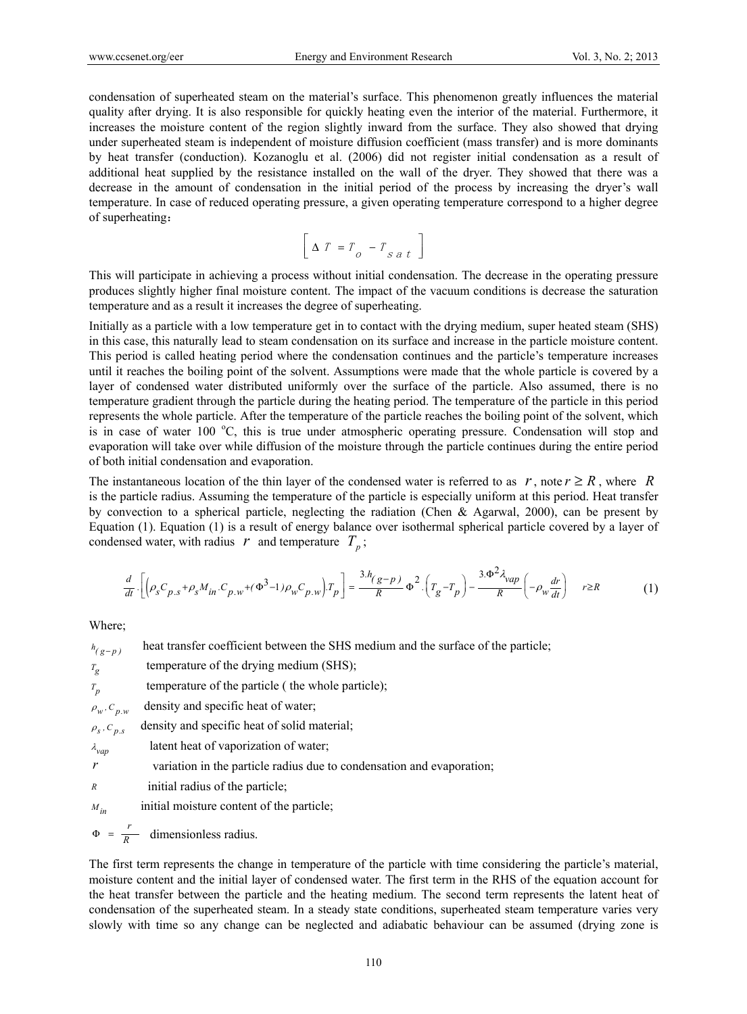condensation of superheated steam on the material's surface. This phenomenon greatly influences the material quality after drying. It is also responsible for quickly heating even the interior of the material. Furthermore, it increases the moisture content of the region slightly inward from the surface. They also showed that drying under superheated steam is independent of moisture diffusion coefficient (mass transfer) and is more dominants by heat transfer (conduction). Kozanoglu et al. (2006) did not register initial condensation as a result of additional heat supplied by the resistance installed on the wall of the dryer. They showed that there was a decrease in the amount of condensation in the initial period of the process by increasing the dryer's wall temperature. In case of reduced operating pressure, a given operating temperature correspond to a higher degree of superheating:

$$
\left[\Delta T = T_o - T_{sat}\right]
$$

This will participate in achieving a process without initial condensation. The decrease in the operating pressure produces slightly higher final moisture content. The impact of the vacuum conditions is decrease the saturation temperature and as a result it increases the degree of superheating.

Initially as a particle with a low temperature get in to contact with the drying medium, super heated steam (SHS) in this case, this naturally lead to steam condensation on its surface and increase in the particle moisture content. This period is called heating period where the condensation continues and the particle's temperature increases until it reaches the boiling point of the solvent. Assumptions were made that the whole particle is covered by a layer of condensed water distributed uniformly over the surface of the particle. Also assumed, there is no temperature gradient through the particle during the heating period. The temperature of the particle in this period represents the whole particle. After the temperature of the particle reaches the boiling point of the solvent, which is in case of water 100 °C, this is true under atmospheric operating pressure. Condensation will stop and evaporation will take over while diffusion of the moisture through the particle continues during the entire period of both initial condensation and evaporation.

The instantaneous location of the thin layer of the condensed water is referred to as  $r$ , note  $r \geq R$ , where R is the particle radius. Assuming the temperature of the particle is especially uniform at this period. Heat transfer by convection to a spherical particle, neglecting the radiation (Chen & Agarwal, 2000), can be present by Equation (1). Equation (1) is a result of energy balance over isothermal spherical particle covered by a layer of condensed water, with radius  $r$  and temperature  $T_p$ ;

$$
\frac{d}{dt} \cdot \left[ \left( \rho_s C_{p,s} + \rho_s M_{in} \cdot C_{p,w} + (\Phi^3 - 1) \rho_w C_{p,w} \right) T_p \right] = \frac{3 \cdot h_{(g-p)}}{R} \Phi^2 \cdot \left( T_g - T_p \right) - \frac{3 \cdot \Phi^2 \lambda_{vap}}{R} \left( -\rho_w \frac{dr}{dt} \right) \qquad r \ge R \tag{1}
$$

Where;

| $h_{(g-p)}$          | heat transfer coefficient between the SHS medium and the surface of the particle; |
|----------------------|-----------------------------------------------------------------------------------|
| $T_g$                | temperature of the drying medium (SHS);                                           |
| $T_p$                | temperature of the particle (the whole particle);                                 |
| $\rho_w$ , $C_{p,w}$ | density and specific heat of water;                                               |
| $\rho_s$ , $C_{p,s}$ | density and specific heat of solid material;                                      |
| $\lambda_{vap}$      | latent heat of vaporization of water;                                             |
| $\mathcal{V}$        | variation in the particle radius due to condensation and evaporation;             |
| R                    | initial radius of the particle;                                                   |
| $M_{in}$             | initial moisture content of the particle;                                         |
|                      |                                                                                   |

 $\Phi = \frac{r}{R}$  dimensionless radius.

The first term represents the change in temperature of the particle with time considering the particle's material, moisture content and the initial layer of condensed water. The first term in the RHS of the equation account for the heat transfer between the particle and the heating medium. The second term represents the latent heat of condensation of the superheated steam. In a steady state conditions, superheated steam temperature varies very slowly with time so any change can be neglected and adiabatic behaviour can be assumed (drying zone is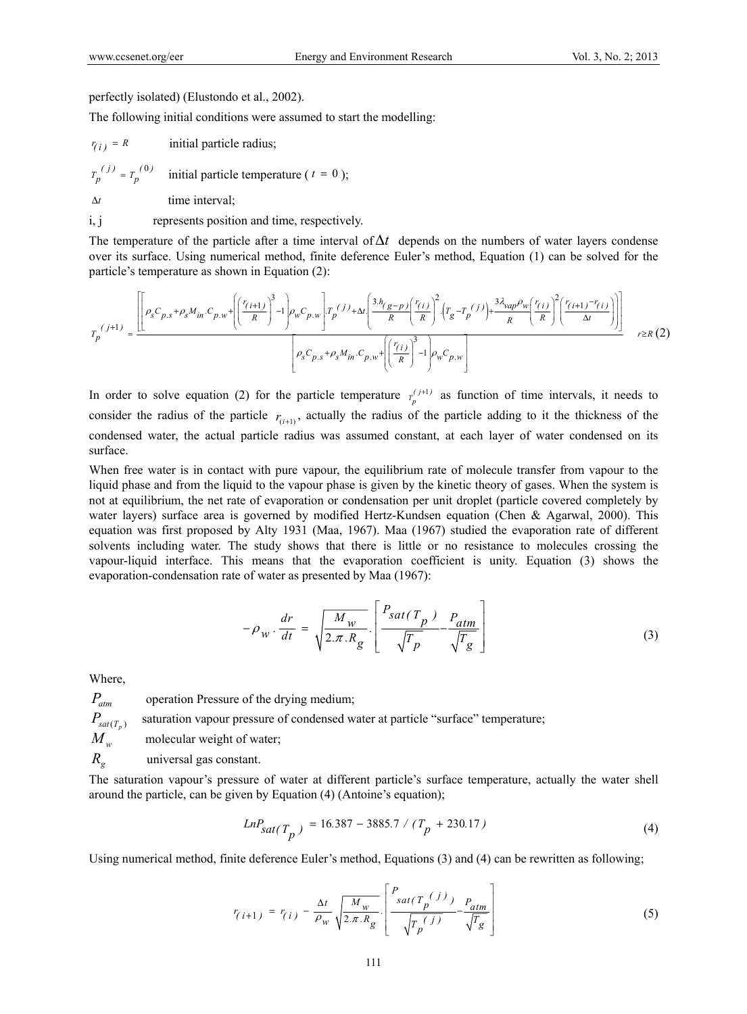perfectly isolated) (Elustondo et al., 2002).

The following initial conditions were assumed to start the modelling:

 $r_{(i)} = R$  initial particle radius;  $T_n^{(j)} = T_n^{(0)}$ *initial particle temperature (* $t = 0$ *);*  $\Delta t$  time interval: i, j represents position and time, respectively.

The temperature of the particle after a time interval of  $\Delta t$  depends on the numbers of water layers condense over its surface. Using numerical method, finite deference Euler's method, Equation (1) can be solved for the particle's temperature as shown in Equation (2):

$$
T_p^{(j+1)} = \frac{\left[\left[\rho_s C_{p,s} + \rho_s M_{in} \cdot C_{p,w} + \left(\left(\frac{r_{(i+1)}}{R}\right)^3 - 1\right) \rho_w C_{p,w}\right] T_p^{(j)} + \Delta t \left(\frac{3h_{(g-p)}\left(r_{(i)}\right)}{R}\right)^2 \cdot \left(T_g - T_p^{(j)}\right) + \frac{3\lambda_{vap}\rho_w}{R} \left(\frac{r_{(i)}}{R}\right)^2 \cdot \left(\frac{r_{(i+1)} - r_{(i)}}{\Delta t}\right)\right)\right]}{\left[\rho_s C_{p,s} + \rho_s M_{in} \cdot C_{p,w} + \left(\left(\frac{r_{(i)}}{R}\right)^3 - 1\right) \rho_w C_{p,w}\right]} \qquad r \ge R\left(2\right)
$$

In order to solve equation (2) for the particle temperature  $T_p^{(j+1)}$  as function of time intervals, it needs to consider the radius of the particle  $r_{(i+1)}$ , actually the radius of the particle adding to it the thickness of the condensed water, the actual particle radius was assumed constant, at each layer of water condensed on its surface.

When free water is in contact with pure vapour, the equilibrium rate of molecule transfer from vapour to the liquid phase and from the liquid to the vapour phase is given by the kinetic theory of gases. When the system is not at equilibrium, the net rate of evaporation or condensation per unit droplet (particle covered completely by water layers) surface area is governed by modified Hertz-Kundsen equation (Chen & Agarwal, 2000). This equation was first proposed by Alty 1931 (Maa, 1967). Maa (1967) studied the evaporation rate of different solvents including water. The study shows that there is little or no resistance to molecules crossing the vapour-liquid interface. This means that the evaporation coefficient is unity. Equation (3) shows the evaporation-condensation rate of water as presented by Maa (1967):

$$
-\rho_w \cdot \frac{dr}{dt} = \sqrt{\frac{M_w}{2 \pi R_g}} \cdot \left[ \frac{P_{sat(T_p)} - P_{atm}}{\sqrt{T_p}} - \frac{P_{atm}}{\sqrt{T_g}} \right]
$$
(3)

Where,

*Patm* operation Pressure of the drying medium;

 $P_{\text{sat}(T_n)}$  saturation vapour pressure of condensed water at particle "surface" temperature;

 $M_w$  molecular weight of water;

*R<sub>g</sub>* universal gas constant.

The saturation vapour's pressure of water at different particle's surface temperature, actually the water shell around the particle, can be given by Equation (4) (Antoine's equation);

$$
LnP_{sat(T_p)} = 16.387 - 3885.7 / (T_p + 230.17)
$$
\n(4)

Using numerical method, finite deference Euler's method, Equations (3) and (4) can be rewritten as following;

$$
r_{(i+1)} = r_{(i)} - \frac{\Delta t}{\rho_w} \sqrt{\frac{M_w}{2 \pi R_g}} \left[ \frac{P_{sat(T_p)}(j)}{\sqrt{T_p(j)}} - \frac{P_{atm}}{\sqrt{T_g}} \right]
$$
(5)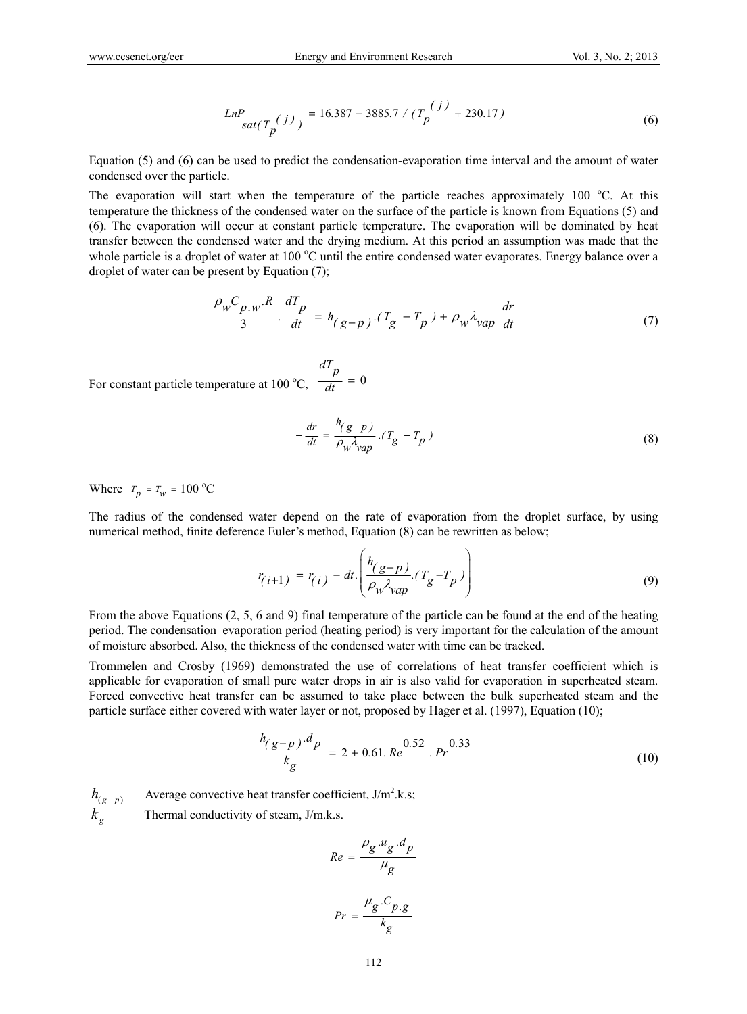$$
LnP_{sat(T_p(j))} = 16.387 - 3885.7 / (T_p^{(j)} + 230.17)
$$
 (6)

Equation (5) and (6) can be used to predict the condensation-evaporation time interval and the amount of water condensed over the particle.

The evaporation will start when the temperature of the particle reaches approximately 100 °C. At this temperature the thickness of the condensed water on the surface of the particle is known from Equations (5) and (6). The evaporation will occur at constant particle temperature. The evaporation will be dominated by heat transfer between the condensed water and the drying medium. At this period an assumption was made that the whole particle is a droplet of water at 100 °C until the entire condensed water evaporates. Energy balance over a droplet of water can be present by Equation (7);

$$
\frac{\rho_w C_{p,w} R}{3} \cdot \frac{dT_p}{dt} = h_{(g-p)} \cdot (T_g - T_p) + \rho_w \lambda_{vap} \frac{dr}{dt}
$$
 (7)

For constant particle temperature at 100 °C,  $\frac{r}{dt} = 0$ *dT p*  $\frac{r}{dt}$  =

$$
-\frac{dr}{dt} = \frac{h_{(g-p)}}{\rho_w \lambda_{vap}} \cdot (T_g - T_p) \tag{8}
$$

Where  $T_p = T_w = 100 \text{ °C}$ 

The radius of the condensed water depend on the rate of evaporation from the droplet surface, by using numerical method, finite deference Euler's method, Equation (8) can be rewritten as below;

$$
r_{(i+1)} = r_{(i)} - dt \cdot \left( \frac{h_{(g-p)}}{\rho_w \lambda_{vap}} \cdot (T_g - T_p) \right)
$$
 (9)

From the above Equations (2, 5, 6 and 9) final temperature of the particle can be found at the end of the heating period. The condensation–evaporation period (heating period) is very important for the calculation of the amount of moisture absorbed. Also, the thickness of the condensed water with time can be tracked.

Trommelen and Crosby (1969) demonstrated the use of correlations of heat transfer coefficient which is applicable for evaporation of small pure water drops in air is also valid for evaporation in superheated steam. Forced convective heat transfer can be assumed to take place between the bulk superheated steam and the particle surface either covered with water layer or not, proposed by Hager et al. (1997), Equation (10);

$$
\frac{h_{(g-p)} \cdot d_p}{k_g} = 2 + 0.61. Re \, 0.52 \, . Pr \, (10)
$$

 $h_{(g-p)}$  Average convective heat transfer coefficient, J/m<sup>2</sup>.k.s;  $k_e$  Thermal conductivity of steam, J/m.k.s.

$$
Re = \frac{\rho_g \cdot u_g \cdot d_p}{\mu_g}
$$

$$
Pr = \frac{\mu_g \cdot C_{p \cdot g}}{k_g}
$$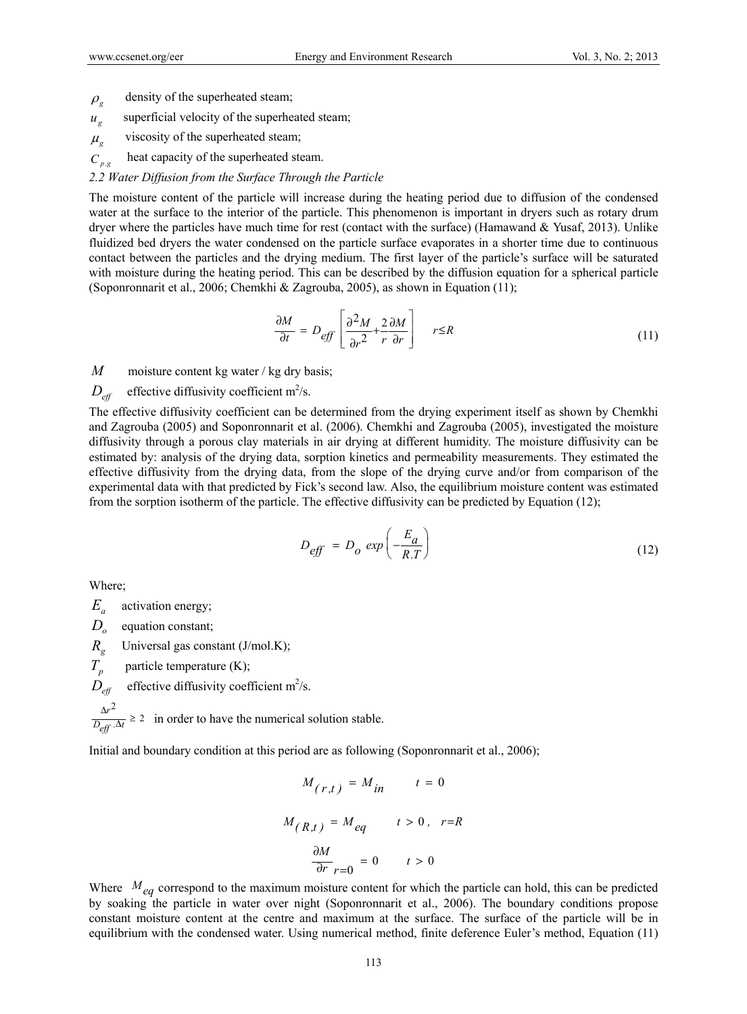- $\rho_{\rm g}$  density of the superheated steam;
- $u_g$  superficial velocity of the superheated steam;
- $\mu_{g}$  viscosity of the superheated steam;
- $C_{p,q}$  heat capacity of the superheated steam.
- *2.2 Water Diffusion from the Surface Through the Particle*

The moisture content of the particle will increase during the heating period due to diffusion of the condensed water at the surface to the interior of the particle. This phenomenon is important in dryers such as rotary drum dryer where the particles have much time for rest (contact with the surface) (Hamawand & Yusaf, 2013). Unlike fluidized bed dryers the water condensed on the particle surface evaporates in a shorter time due to continuous contact between the particles and the drying medium. The first layer of the particle's surface will be saturated with moisture during the heating period. This can be described by the diffusion equation for a spherical particle (Soponronnarit et al., 2006; Chemkhi & Zagrouba, 2005), as shown in Equation (11);

$$
\frac{\partial M}{\partial t} = D_{eff} \left[ \frac{\partial^2 M}{\partial r^2} + \frac{2}{r} \frac{\partial M}{\partial r} \right] \qquad r \le R \tag{11}
$$

*M* moisture content kg water / kg dry basis;

# $D_{\text{eff}}$  effective diffusivity coefficient m<sup>2</sup>/s.

The effective diffusivity coefficient can be determined from the drying experiment itself as shown by Chemkhi and Zagrouba (2005) and Soponronnarit et al. (2006). Chemkhi and Zagrouba (2005), investigated the moisture diffusivity through a porous clay materials in air drying at different humidity. The moisture diffusivity can be estimated by: analysis of the drying data, sorption kinetics and permeability measurements. They estimated the effective diffusivity from the drying data, from the slope of the drying curve and/or from comparison of the experimental data with that predicted by Fick's second law. Also, the equilibrium moisture content was estimated from the sorption isotherm of the particle. The effective diffusivity can be predicted by Equation (12);

$$
D_{\text{eff}} = D_o \exp\left(-\frac{E_a}{R.T}\right) \tag{12}
$$

Where;

- *Ea* activation energy;
- *D<sub>o</sub>* equation constant;
- *R<sub>g</sub>* Universal gas constant (J/mol.K);
- $T_p$  particle temperature (K);

 $D_{\text{eff}}$  effective diffusivity coefficient m<sup>2</sup>/s.

 $\frac{r^2}{\Delta t} \geq 2$  $D_{\mathit{eff}}^{\dagger}$  .  $\Delta t$  $\frac{\Delta r^2}{\Delta r \cdot \Delta t} \ge 2$  in order to have the numerical solution stable.

Initial and boundary condition at this period are as following (Soponronnarit et al., 2006);

$$
M_{(r,t)} = M_{in} \qquad t = 0
$$
  

$$
M_{(R,t)} = M_{eq} \qquad t > 0, \quad r = R
$$
  

$$
\frac{\partial M}{\partial r}_{r=0} = 0 \qquad t > 0
$$

Where  $M_{eq}$  correspond to the maximum moisture content for which the particle can hold, this can be predicted by soaking the particle in water over night (Soponronnarit et al., 2006). The boundary conditions propose constant moisture content at the centre and maximum at the surface. The surface of the particle will be in equilibrium with the condensed water. Using numerical method, finite deference Euler's method, Equation (11)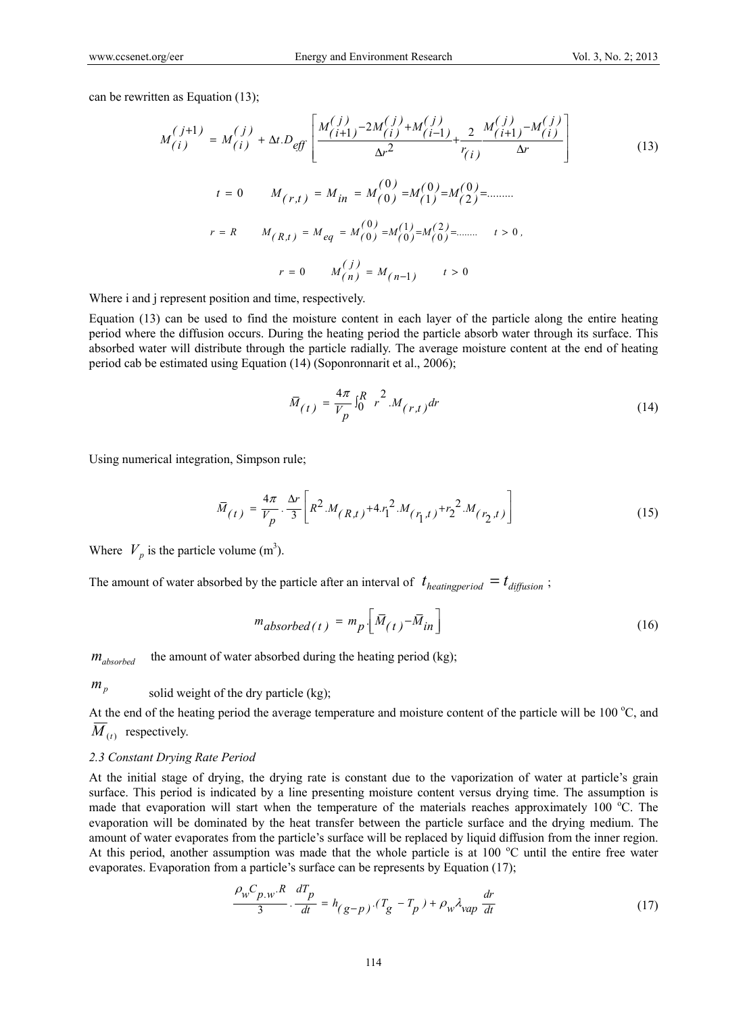can be rewritten as Equation (13);

$$
M_{(i)}^{(j+1)} = M_{(i)}^{(j)} + \Delta t \cdot D_{eff} \left[ \frac{M_{(i+1)}^{(j)} - 2M_{(i)}^{(j)} + M_{(i-1)}^{(j)}}{\Delta r^2} + \frac{2}{r_{(i)}} \frac{M_{(i+1)}^{(j)} - M_{(i)}^{(j)}}{\Delta r} \right]
$$
  
\n
$$
t = 0 \qquad M_{(r,t)} = M_{in} = M_{(0)}^{(0)} = M_{(1)}^{(0)} = M_{(2)}^{(0)} = \dots
$$
  
\n
$$
r = R \qquad M_{(R,t)} = M_{eq} = M_{(0)}^{(0)} = M_{(0)}^{(1)} = M_{(0)}^{(2)} = \dots \qquad t > 0.
$$
  
\n
$$
r = 0 \qquad M_{(n)}^{(j)} = M_{(n-1)} \qquad t > 0
$$

Where i and j represent position and time, respectively.

Equation (13) can be used to find the moisture content in each layer of the particle along the entire heating period where the diffusion occurs. During the heating period the particle absorb water through its surface. This absorbed water will distribute through the particle radially. The average moisture content at the end of heating period cab be estimated using Equation (14) (Soponronnarit et al., 2006);

$$
\bar{M}_{(t)} = \frac{4\pi}{V_p} \int_0^R r^2 M_{(r,t)} dr
$$
\n(14)

Using numerical integration, Simpson rule;

$$
\overline{M}_{(t)} = \frac{4\pi}{V_p} \cdot \frac{\Delta r}{3} \left[ R^2 \cdot M_{(R,t)} + 4 \cdot r_1^2 \cdot M_{(r_1,t)} + r_2^2 \cdot M_{(r_2,t)} \right]
$$
(15)

Where  $V_p$  is the particle volume (m<sup>3</sup>).

The amount of water absorbed by the particle after an interval of  $t_{heating period} = t_{diffusion}$ ;

$$
m_{absorbed(t)} = m_p \left[ \bar{M}_{(t)} - \bar{M}_{in} \right]
$$
 (16)

*m*<sub>absorbed</sub> the amount of water absorbed during the heating period (kg);

 $m_p$  solid weight of the dry particle (kg);

At the end of the heating period the average temperature and moisture content of the particle will be  $100^{\circ}$ C, and  $\overline{M}_{(t)}$  respectively.

#### *2.3 Constant Drying Rate Period*

At the initial stage of drying, the drying rate is constant due to the vaporization of water at particle's grain surface. This period is indicated by a line presenting moisture content versus drying time. The assumption is made that evaporation will start when the temperature of the materials reaches approximately 100 °C. The evaporation will be dominated by the heat transfer between the particle surface and the drying medium. The amount of water evaporates from the particle's surface will be replaced by liquid diffusion from the inner region. At this period, another assumption was made that the whole particle is at 100 °C until the entire free water evaporates. Evaporation from a particle's surface can be represents by Equation (17);

$$
\frac{\rho_w C_{p.w} R}{3} \cdot \frac{dT_p}{dt} = h_{(g-p)} \cdot (T_g - T_p) + \rho_w \lambda_{vap} \frac{dr}{dt}
$$
 (17)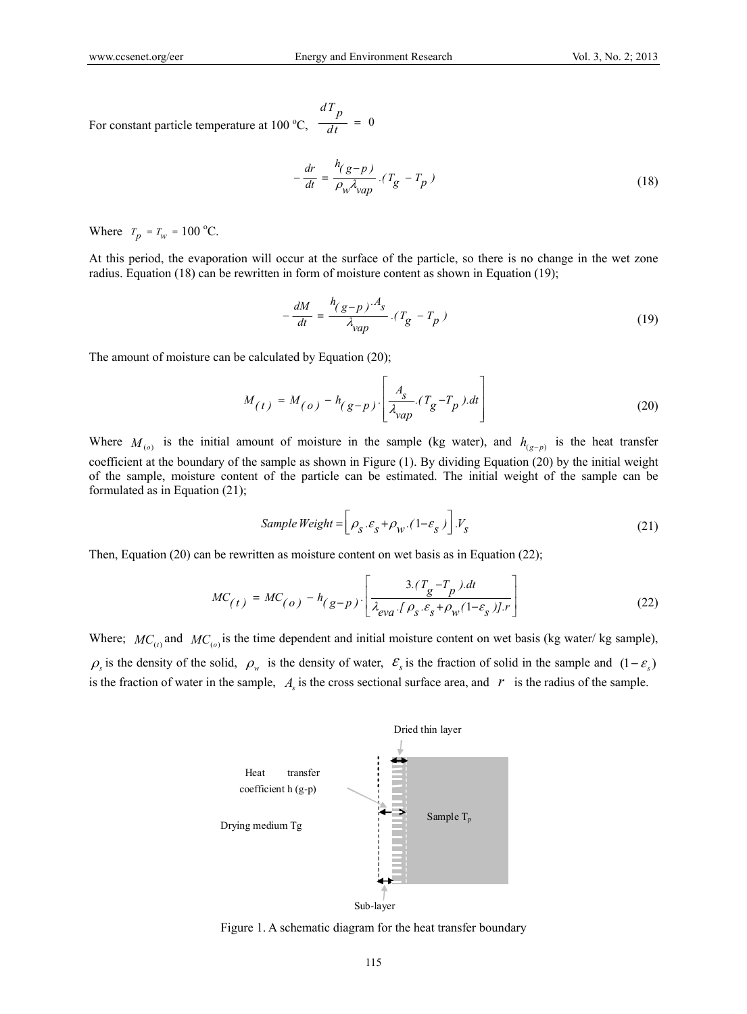For constant particle temperature at 100 °C,  $\frac{P}{dt} = 0$  $\frac{dT_p}{dt}$  =

$$
-\frac{dr}{dt} = \frac{h(g-p)}{\rho_w \lambda_{vap}} \cdot (T_g - T_p)
$$
\n(18)

Where  $T_p = T_w = 100 \,^{\circ}\text{C}$ .

At this period, the evaporation will occur at the surface of the particle, so there is no change in the wet zone radius. Equation (18) can be rewritten in form of moisture content as shown in Equation (19);

$$
-\frac{dM}{dt} = \frac{h_{(g-p)} \cdot A_s}{\lambda_{vap}} \cdot (T_g - T_p) \tag{19}
$$

The amount of moisture can be calculated by Equation (20);

$$
M_{(t)} = M_{(o)} - h_{(g-p)} \left[ \frac{A_s}{\lambda_{vap}} (T_g - T_p) \cdot dt \right]
$$
 (20)

Where  $M_{(p)}$  is the initial amount of moisture in the sample (kg water), and  $h_{(p-p)}$  is the heat transfer coefficient at the boundary of the sample as shown in Figure (1). By dividing Equation (20) by the initial weight of the sample, moisture content of the particle can be estimated. The initial weight of the sample can be formulated as in Equation (21);

Sample Weight = 
$$
\left[\rho_s \cdot \varepsilon_s + \rho_w \cdot (1 - \varepsilon_s)\right] \cdot V_s
$$
 (21)

Then, Equation (20) can be rewritten as moisture content on wet basis as in Equation (22);

$$
MC_{(t)} = MC_{(o)} - h_{(g-p)} \left[ \frac{3.(T_g - T_p).dt}{\lambda_{eva} \cdot [\rho_s \cdot \varepsilon_s + \rho_w(1 - \varepsilon_s)] \cdot r} \right]
$$
(22)

Where;  $MC_{(t)}$  and  $MC_{(t)}$  is the time dependent and initial moisture content on wet basis (kg water/kg sample),  $\rho_s$  is the density of the solid,  $\rho_w$  is the density of water,  $\varepsilon_s$  is the fraction of solid in the sample and  $(1 - \varepsilon_s)$ is the fraction of water in the sample,  $A<sub>s</sub>$  is the cross sectional surface area, and  $r<sub>s</sub>$  is the radius of the sample.



Figure 1. A schematic diagram for the heat transfer boundary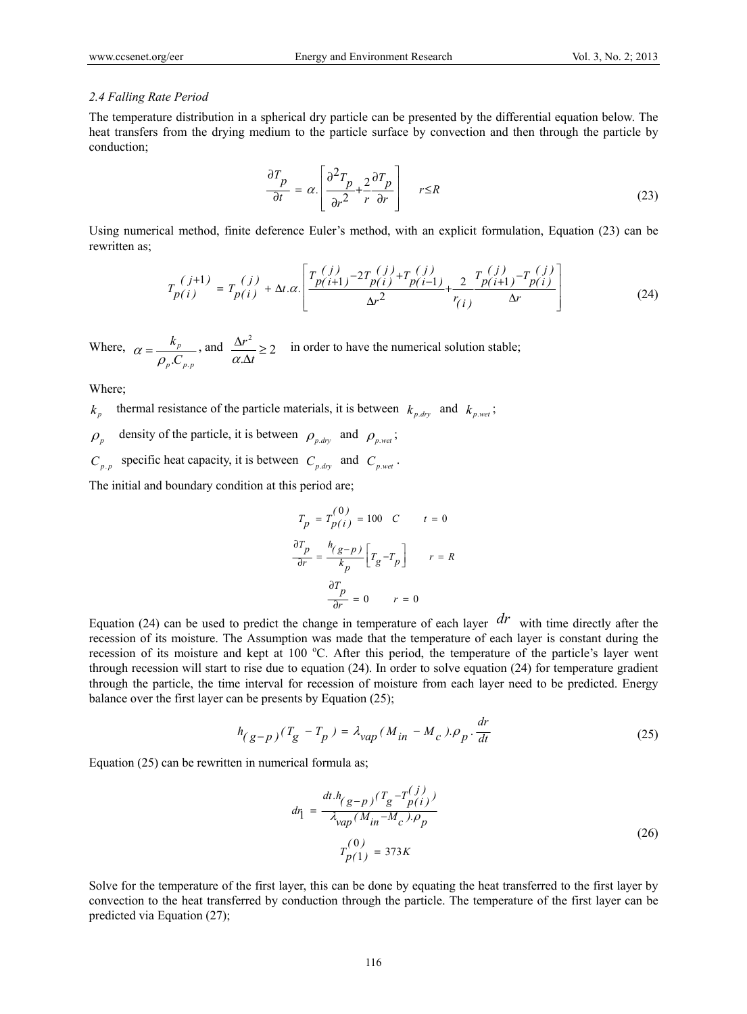#### *2.4 Falling Rate Period*

The temperature distribution in a spherical dry particle can be presented by the differential equation below. The heat transfers from the drying medium to the particle surface by convection and then through the particle by conduction;

$$
\frac{\partial T_p}{\partial t} = \alpha \cdot \left[ \frac{\partial^2 T_p}{\partial r^2} + \frac{2}{r} \frac{\partial T_p}{\partial r} \right] \qquad r \le R \tag{23}
$$

Using numerical method, finite deference Euler's method, with an explicit formulation, Equation (23) can be rewritten as;

$$
T_{p(i)}^{(j+1)} = T_{p(i)}^{(j)} + \Delta t. \alpha \cdot \left[ \frac{T_{p(i+1)}^{(j)} - 2T_{p(i)}^{(j)} + T_{p(i-1)}^{(j)}}{\Delta r^2} + \frac{2T_{p(i+1)}^{(j)} - T_{p(i)}^{(j)}}{\Delta r} \right]
$$
(24)

Where,  $p \cdot \sim p \cdot p$ *p C*  $\alpha = \frac{k_p}{\rho_p C_{p,p}}$ , and  $\frac{\Delta r^2}{\alpha \Delta t} \ge 2$ Δ *t r*  $\frac{\Delta r}{\alpha \Delta t} \geq 2$  in order to have the numerical solution stable;

Where;

 $k_n$  thermal resistance of the particle materials, it is between  $k_{n-dry}$  and  $k_{p, wet}$ ;

 $\rho_n$  density of the particle, it is between  $\rho_{p,dy}$  and  $\rho_{p,wei}$ ;

 $C_{p,p}$  specific heat capacity, it is between  $C_{p, dry}$  and  $C_{p, wet}$ .

The initial and boundary condition at this period are;

$$
T_p = T_{p(i)}^{(0)} = 100 \quad C \qquad t = 0
$$

$$
\frac{\partial T_p}{\partial r} = \frac{h_{(g-p)}}{k_p} \left[ T_g - T_p \right] \qquad r = R
$$

$$
\frac{\partial T_p}{\partial r} = 0 \qquad r = 0
$$

Equation (24) can be used to predict the change in temperature of each layer  $dr$  with time directly after the recession of its moisture. The Assumption was made that the temperature of each layer is constant during the recession of its moisture and kept at 100 °C. After this period, the temperature of the particle's layer went through recession will start to rise due to equation (24). In order to solve equation (24) for temperature gradient through the particle, the time interval for recession of moisture from each layer need to be predicted. Energy balance over the first layer can be presents by Equation (25);

$$
h_{(g-p)}(T_g - T_p) = \lambda_{vap}(M_{in} - M_c) \cdot \rho_p \cdot \frac{dr}{dt}
$$
 (25)

Equation (25) can be rewritten in numerical formula as;

$$
d\eta = \frac{dt \cdot h_{(g-p)}(T_g - T_{p(i)}^{(j)})}{\lambda_{vap}(M_{in} - M_c) \cdot \rho_p}
$$
  

$$
T_{p(1)}^{(0)} = 373K
$$
 (26)

Solve for the temperature of the first layer, this can be done by equating the heat transferred to the first layer by convection to the heat transferred by conduction through the particle. The temperature of the first layer can be predicted via Equation (27);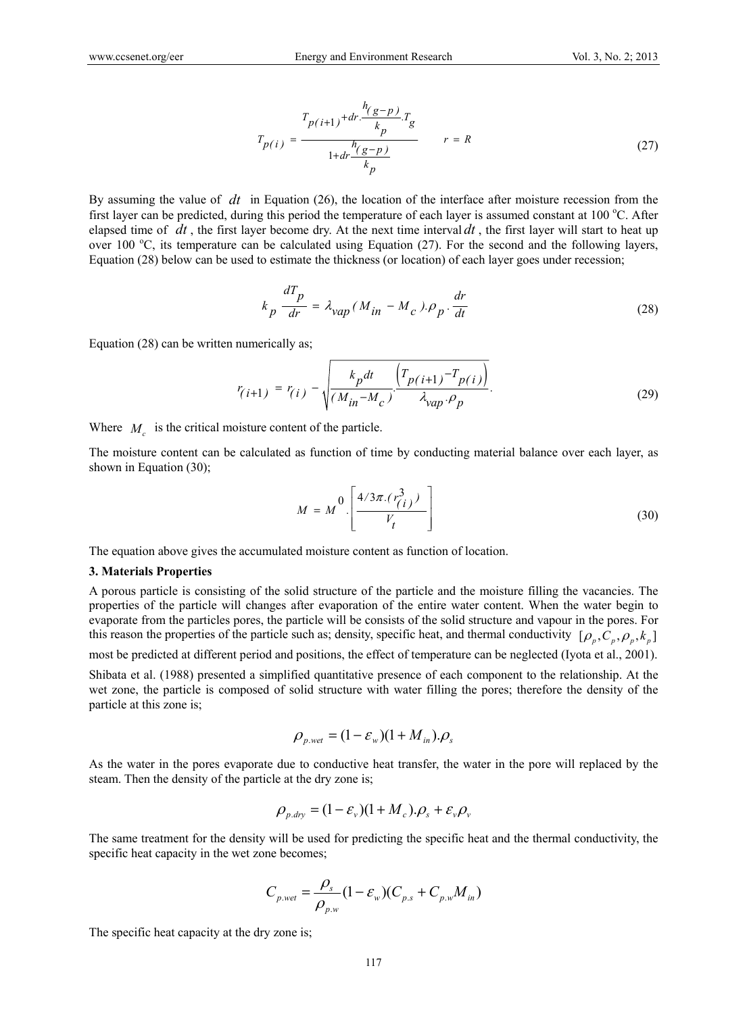*h*

$$
T_{p(i)} = \frac{T_{p(i+1)} + dr \cdot \frac{n(g-p)}{k_p} T_g}{1 + dr \cdot \frac{n(g-p)}{k_p}} \qquad r = R
$$
 (27)

By assuming the value of *dt* in Equation (26), the location of the interface after moisture recession from the first layer can be predicted, during this period the temperature of each layer is assumed constant at 100 °C. After elapsed time of  $dt$ , the first layer become dry. At the next time interval  $dt$ , the first layer will start to heat up over 100 °C, its temperature can be calculated using Equation (27). For the second and the following layers, Equation (28) below can be used to estimate the thickness (or location) of each layer goes under recession;

$$
k_p \frac{dT_p}{dr} = \lambda_{vap} (M_{in} - M_c). \rho_p \cdot \frac{dr}{dt}
$$
 (28)

Equation (28) can be written numerically as;

$$
r_{(i+1)} = r_{(i)} - \sqrt{\frac{k_p dt}{(M_{in} - M_c)} \frac{(T_{p(i+1)} - T_{p(i)})}{\lambda_{vap} \cdot \rho_p}}.
$$
 (29)

Where  $M_c$  is the critical moisture content of the particle.

The moisture content can be calculated as function of time by conducting material balance over each layer, as shown in Equation (30);

$$
M = M^0 \cdot \left[ \frac{4/3\pi \cdot (r_{(i)}^3)}{V_t} \right]
$$
 (30)

The equation above gives the accumulated moisture content as function of location.

#### **3. Materials Properties**

A porous particle is consisting of the solid structure of the particle and the moisture filling the vacancies. The properties of the particle will changes after evaporation of the entire water content. When the water begin to evaporate from the particles pores, the particle will be consists of the solid structure and vapour in the pores. For this reason the properties of the particle such as; density, specific heat, and thermal conductivity  $[\rho_p, C_p, \rho_p, k_p]$ 

most be predicted at different period and positions, the effect of temperature can be neglected (Iyota et al., 2001).

Shibata et al. (1988) presented a simplified quantitative presence of each component to the relationship. At the wet zone, the particle is composed of solid structure with water filling the pores; therefore the density of the particle at this zone is;

$$
\rho_{p.wet} = (1 - \varepsilon_w)(1 + M_{in}).\rho_s
$$

As the water in the pores evaporate due to conductive heat transfer, the water in the pore will replaced by the steam. Then the density of the particle at the dry zone is;

$$
\rho_{p, dry} = (1 - \varepsilon_v)(1 + M_c) \cdot \rho_s + \varepsilon_v \rho_v
$$

The same treatment for the density will be used for predicting the specific heat and the thermal conductivity, the specific heat capacity in the wet zone becomes;

$$
C_{p, wet} = \frac{\rho_s}{\rho_{p,w}} (1 - \varepsilon_w)(C_{p,s} + C_{p,w}M_{in})
$$

The specific heat capacity at the dry zone is;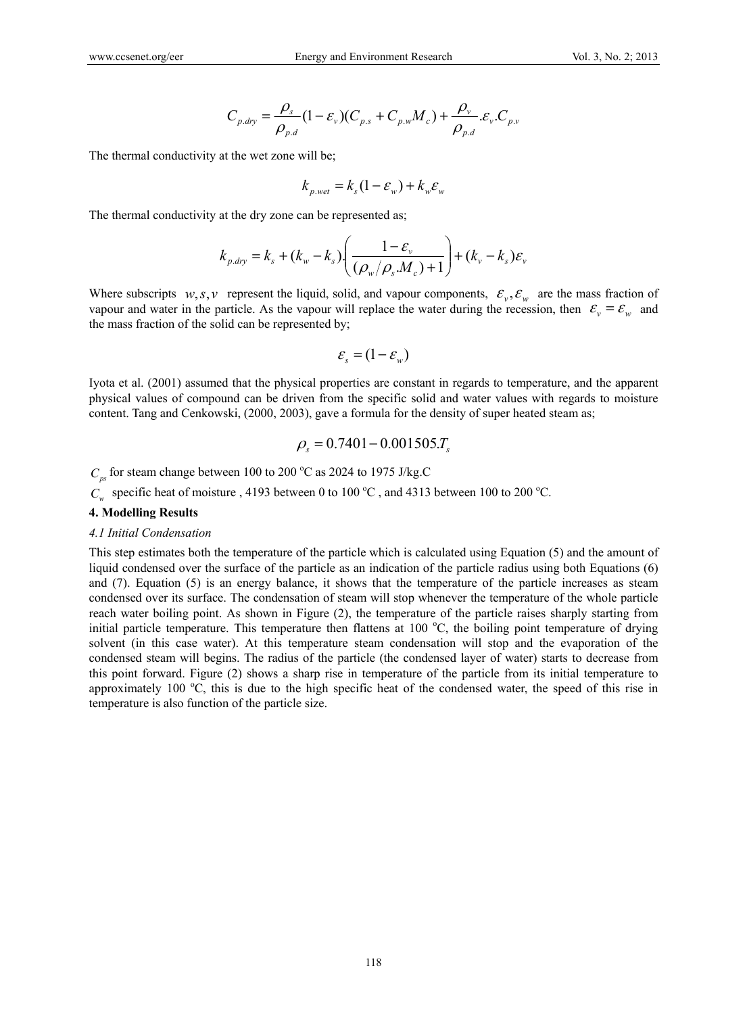$$
C_{p,dry} = \frac{\rho_s}{\rho_{p,d}} (1 - \varepsilon_v)(C_{p,s} + C_{p,w}M_c) + \frac{\rho_v}{\rho_{p,d}} \varepsilon_v C_{p,v}
$$

The thermal conductivity at the wet zone will be;

$$
k_{p.wet} = k_s(1 - \varepsilon_w) + k_w \varepsilon_w
$$

The thermal conductivity at the dry zone can be represented as;

$$
k_{p. \text{day}} = k_s + (k_w - k_s) \left( \frac{1 - \varepsilon_v}{\left( \rho_w / \rho_s M_c \right) + 1} \right) + (k_v - k_s) \varepsilon_v
$$

Where subscripts  $w, s, v$  represent the liquid, solid, and vapour components,  $\varepsilon_v, \varepsilon_w$  are the mass fraction of vapour and water in the particle. As the vapour will replace the water during the recession, then  $\varepsilon_v = \varepsilon_w$  and the mass fraction of the solid can be represented by;

$$
\varepsilon_{s}=(1-\varepsilon_{w})
$$

Iyota et al. (2001) assumed that the physical properties are constant in regards to temperature, and the apparent physical values of compound can be driven from the specific solid and water values with regards to moisture content. Tang and Cenkowski, (2000, 2003), gave a formula for the density of super heated steam as;

$$
\rho_s = 0.7401 - 0.001505.T_s
$$

 $C_{ps}$  for steam change between 100 to 200 °C as 2024 to 1975 J/kg.C

 $C_w$  specific heat of moisture, 4193 between 0 to 100 °C, and 4313 between 100 to 200 °C.

#### **4. Modelling Results**

# *4.1 Initial Condensation*

This step estimates both the temperature of the particle which is calculated using Equation (5) and the amount of liquid condensed over the surface of the particle as an indication of the particle radius using both Equations (6) and (7). Equation (5) is an energy balance, it shows that the temperature of the particle increases as steam condensed over its surface. The condensation of steam will stop whenever the temperature of the whole particle reach water boiling point. As shown in Figure (2), the temperature of the particle raises sharply starting from initial particle temperature. This temperature then flattens at 100 °C, the boiling point temperature of drying solvent (in this case water). At this temperature steam condensation will stop and the evaporation of the condensed steam will begins. The radius of the particle (the condensed layer of water) starts to decrease from this point forward. Figure (2) shows a sharp rise in temperature of the particle from its initial temperature to approximately 100  $\degree$ C, this is due to the high specific heat of the condensed water, the speed of this rise in temperature is also function of the particle size.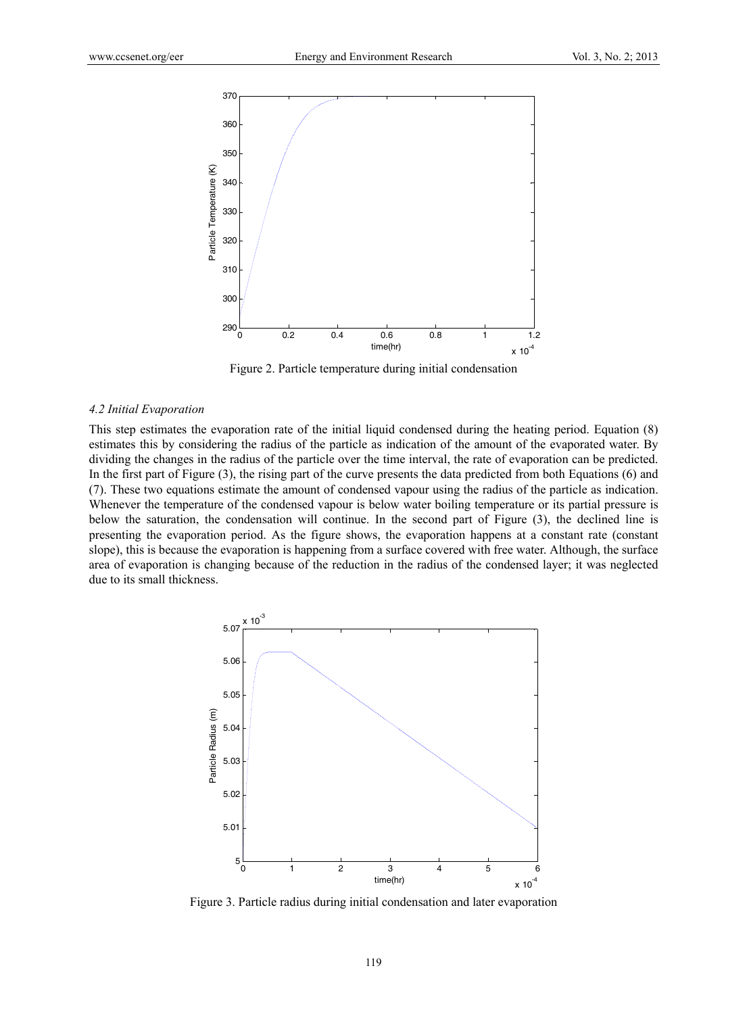

Figure 2. Particle temperature during initial condensation

#### *4.2 Initial Evaporation*

This step estimates the evaporation rate of the initial liquid condensed during the heating period. Equation (8) estimates this by considering the radius of the particle as indication of the amount of the evaporated water. By dividing the changes in the radius of the particle over the time interval, the rate of evaporation can be predicted. In the first part of Figure (3), the rising part of the curve presents the data predicted from both Equations (6) and (7). These two equations estimate the amount of condensed vapour using the radius of the particle as indication. Whenever the temperature of the condensed vapour is below water boiling temperature or its partial pressure is below the saturation, the condensation will continue. In the second part of Figure (3), the declined line is presenting the evaporation period. As the figure shows, the evaporation happens at a constant rate (constant slope), this is because the evaporation is happening from a surface covered with free water. Although, the surface area of evaporation is changing because of the reduction in the radius of the condensed layer; it was neglected due to its small thickness.



Figure 3. Particle radius during initial condensation and later evaporation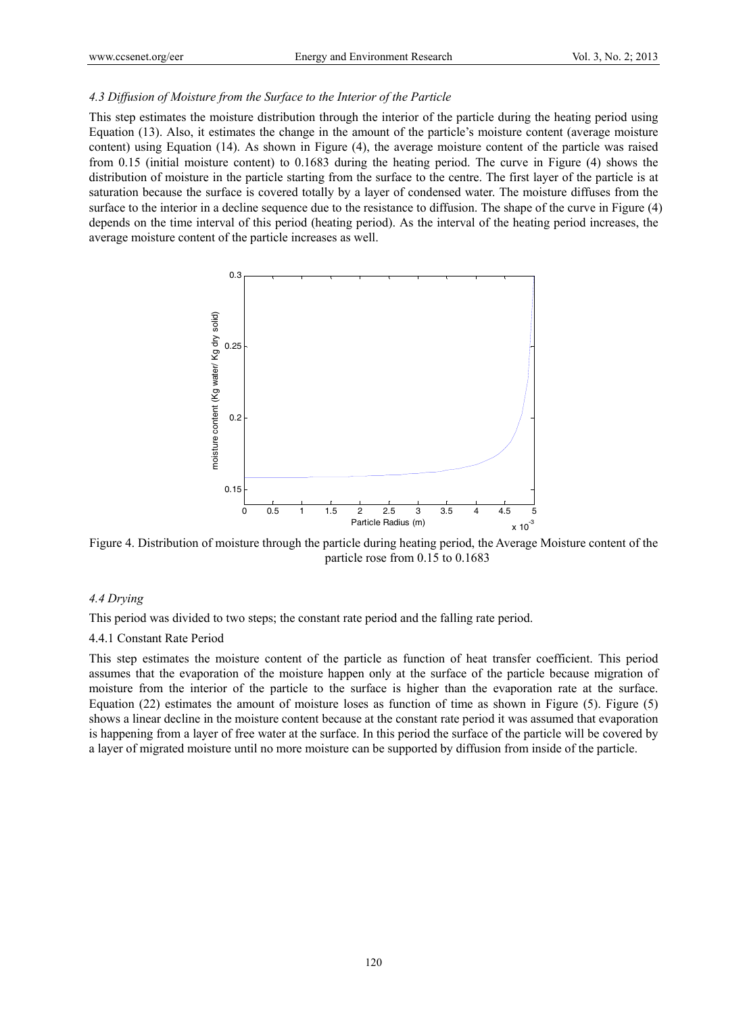### *4.3 Diffusion of Moisture from the Surface to the Interior of the Particle*

This step estimates the moisture distribution through the interior of the particle during the heating period using Equation (13). Also, it estimates the change in the amount of the particle's moisture content (average moisture content) using Equation (14). As shown in Figure (4), the average moisture content of the particle was raised from 0.15 (initial moisture content) to 0.1683 during the heating period. The curve in Figure (4) shows the distribution of moisture in the particle starting from the surface to the centre. The first layer of the particle is at saturation because the surface is covered totally by a layer of condensed water. The moisture diffuses from the surface to the interior in a decline sequence due to the resistance to diffusion. The shape of the curve in Figure (4) depends on the time interval of this period (heating period). As the interval of the heating period increases, the average moisture content of the particle increases as well.



Figure 4. Distribution of moisture through the particle during heating period, the Average Moisture content of the particle rose from 0.15 to 0.1683

# *4.4 Drying*

This period was divided to two steps; the constant rate period and the falling rate period.

#### 4.4.1 Constant Rate Period

This step estimates the moisture content of the particle as function of heat transfer coefficient. This period assumes that the evaporation of the moisture happen only at the surface of the particle because migration of moisture from the interior of the particle to the surface is higher than the evaporation rate at the surface. Equation (22) estimates the amount of moisture loses as function of time as shown in Figure (5). Figure (5) shows a linear decline in the moisture content because at the constant rate period it was assumed that evaporation is happening from a layer of free water at the surface. In this period the surface of the particle will be covered by a layer of migrated moisture until no more moisture can be supported by diffusion from inside of the particle.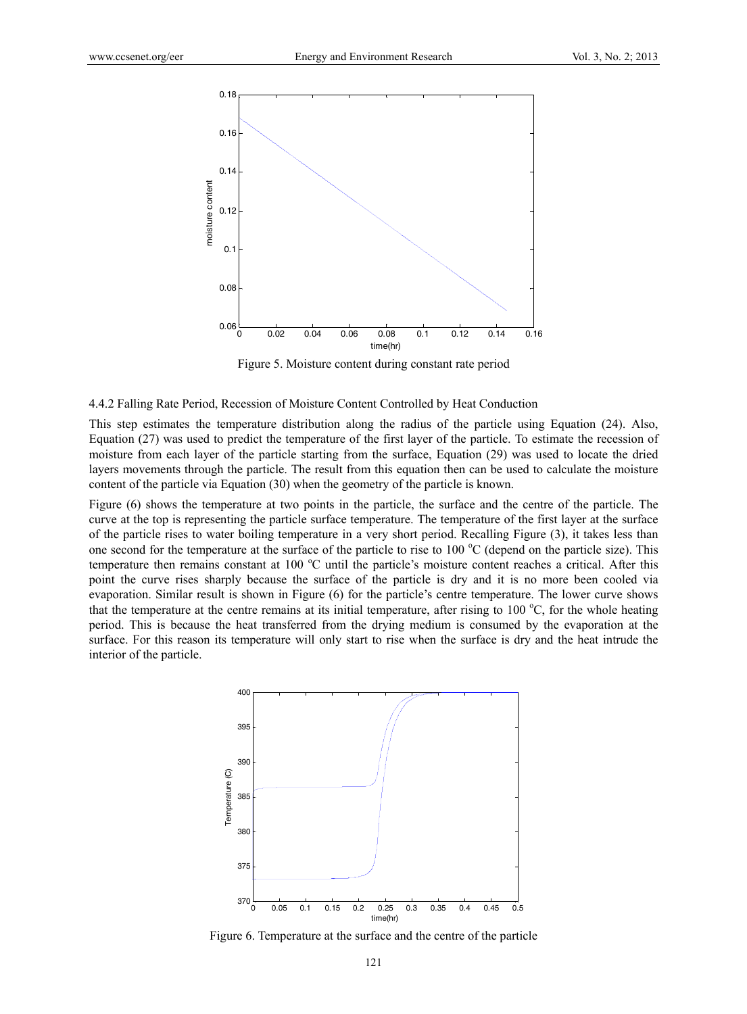

Figure 5. Moisture content during constant rate period

4.4.2 Falling Rate Period, Recession of Moisture Content Controlled by Heat Conduction

This step estimates the temperature distribution along the radius of the particle using Equation (24). Also, Equation (27) was used to predict the temperature of the first layer of the particle. To estimate the recession of moisture from each layer of the particle starting from the surface, Equation (29) was used to locate the dried layers movements through the particle. The result from this equation then can be used to calculate the moisture content of the particle via Equation (30) when the geometry of the particle is known.

Figure (6) shows the temperature at two points in the particle, the surface and the centre of the particle. The curve at the top is representing the particle surface temperature. The temperature of the first layer at the surface of the particle rises to water boiling temperature in a very short period. Recalling Figure (3), it takes less than one second for the temperature at the surface of the particle to rise to  $100\,^{\circ}\text{C}$  (depend on the particle size). This temperature then remains constant at 100 °C until the particle's moisture content reaches a critical. After this point the curve rises sharply because the surface of the particle is dry and it is no more been cooled via evaporation. Similar result is shown in Figure (6) for the particle's centre temperature. The lower curve shows that the temperature at the centre remains at its initial temperature, after rising to  $100^{\circ}$ C, for the whole heating period. This is because the heat transferred from the drying medium is consumed by the evaporation at the surface. For this reason its temperature will only start to rise when the surface is dry and the heat intrude the interior of the particle.



Figure 6. Temperature at the surface and the centre of the particle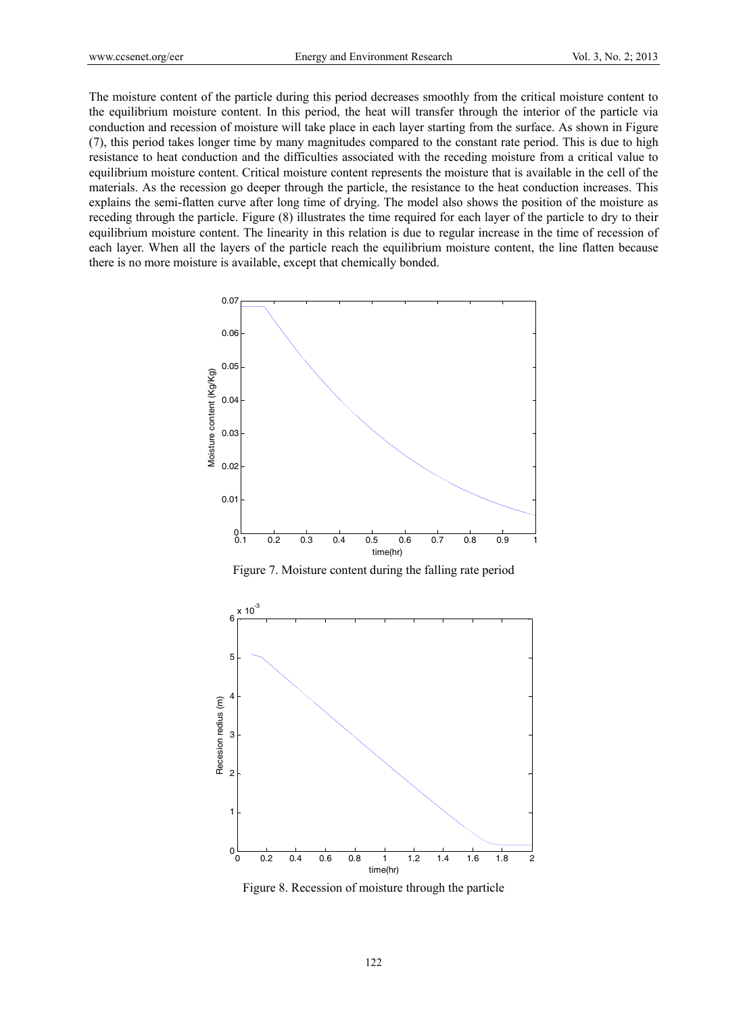The moisture content of the particle during this period decreases smoothly from the critical moisture content to the equilibrium moisture content. In this period, the heat will transfer through the interior of the particle via conduction and recession of moisture will take place in each layer starting from the surface. As shown in Figure (7), this period takes longer time by many magnitudes compared to the constant rate period. This is due to high resistance to heat conduction and the difficulties associated with the receding moisture from a critical value to equilibrium moisture content. Critical moisture content represents the moisture that is available in the cell of the materials. As the recession go deeper through the particle, the resistance to the heat conduction increases. This explains the semi-flatten curve after long time of drying. The model also shows the position of the moisture as receding through the particle. Figure (8) illustrates the time required for each layer of the particle to dry to their equilibrium moisture content. The linearity in this relation is due to regular increase in the time of recession of each layer. When all the layers of the particle reach the equilibrium moisture content, the line flatten because there is no more moisture is available, except that chemically bonded.



Figure 7. Moisture content during the falling rate period



Figure 8. Recession of moisture through the particle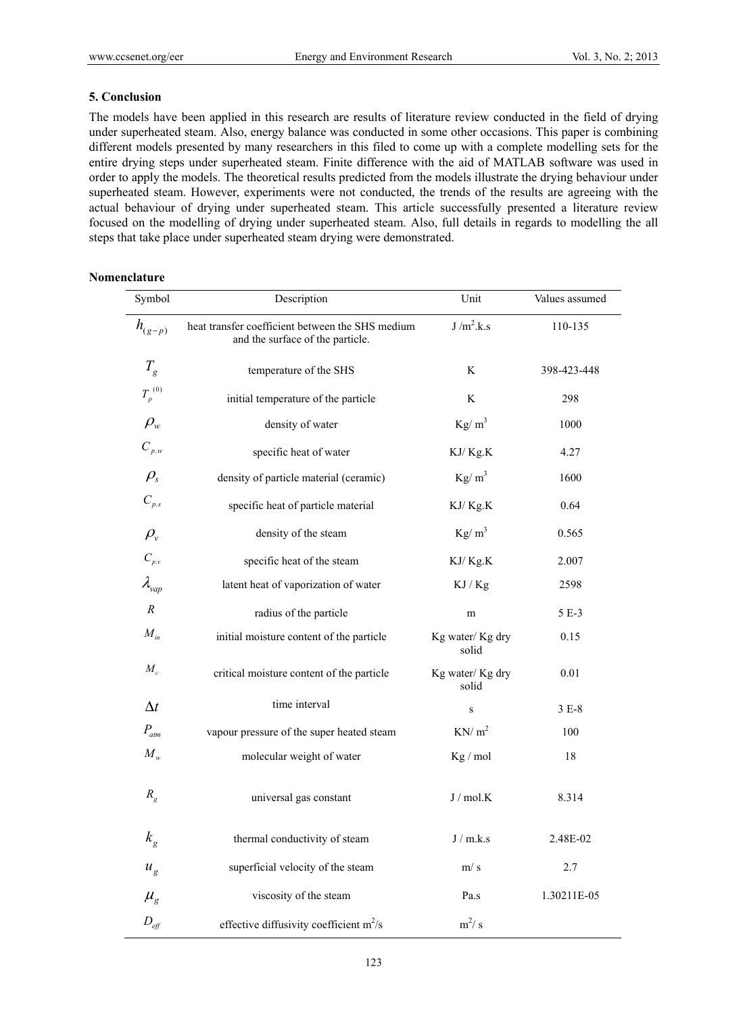# **5. Conclusion**

The models have been applied in this research are results of literature review conducted in the field of drying under superheated steam. Also, energy balance was conducted in some other occasions. This paper is combining different models presented by many researchers in this filed to come up with a complete modelling sets for the entire drying steps under superheated steam. Finite difference with the aid of MATLAB software was used in order to apply the models. The theoretical results predicted from the models illustrate the drying behaviour under superheated steam. However, experiments were not conducted, the trends of the results are agreeing with the actual behaviour of drying under superheated steam. This article successfully presented a literature review focused on the modelling of drying under superheated steam. Also, full details in regards to modelling the all steps that take place under superheated steam drying were demonstrated.

# **Nomenclature**

| Symbol             | Description                                                                          | Unit                     | Values assumed |
|--------------------|--------------------------------------------------------------------------------------|--------------------------|----------------|
| $h_{(g-p)}$        | heat transfer coefficient between the SHS medium<br>and the surface of the particle. | J/m <sup>2</sup> .k.s    | 110-135        |
| $T_{g}$            | temperature of the SHS                                                               | K                        | 398-423-448    |
| $T_p^{(0)}$        | initial temperature of the particle                                                  | K                        | 298            |
| $\rho_{\rm w}$     | density of water                                                                     | $Kg/m^3$                 | 1000           |
| $C_{_{p.w}}$       | specific heat of water                                                               | KJ/Kg.K                  | 4.27           |
| $\rho_{\rm s}$     | density of particle material (ceramic)                                               | $Kg/m^3$                 | 1600           |
| $C_{p,s}$          | specific heat of particle material                                                   | KJ/Kg.K                  | 0.64           |
| $\rho_{\rm v}$     | density of the steam                                                                 | $Kg/m^3$                 | 0.565          |
| $C_{p.v}$          | specific heat of the steam                                                           | KJ/Kg.K                  | 2.007          |
| $\lambda_{vap}$    | latent heat of vaporization of water                                                 | KJ / Kg                  | 2598           |
| $\boldsymbol{R}$   | radius of the particle                                                               | m                        | 5 E-3          |
| $M_{in}$           | initial moisture content of the particle                                             | Kg water/Kg dry<br>solid | 0.15           |
| $M_c$              | critical moisture content of the particle                                            | Kg water/Kg dry<br>solid | 0.01           |
| $\Delta t$         | time interval                                                                        | S                        | $3E-8$         |
| $P_{atm}$          | vapour pressure of the super heated steam                                            | KN/m <sup>2</sup>        | 100            |
| $M_{w}$            | molecular weight of water                                                            | Kg / mol                 | 18             |
| $R_{g}$            | universal gas constant                                                               | J/mol.K                  | 8.314          |
| $k_{g}$            | thermal conductivity of steam                                                        | J/m.k.s                  | 2.48E-02       |
| $u_{g}$            | superficial velocity of the steam                                                    | m/s                      | 2.7            |
| $\mu_{g}$          | viscosity of the steam                                                               | Pa.s                     | 1.30211E-05    |
| $D_{\textit{eff}}$ | effective diffusivity coefficient $m^2/s$                                            | $m^2/s$                  |                |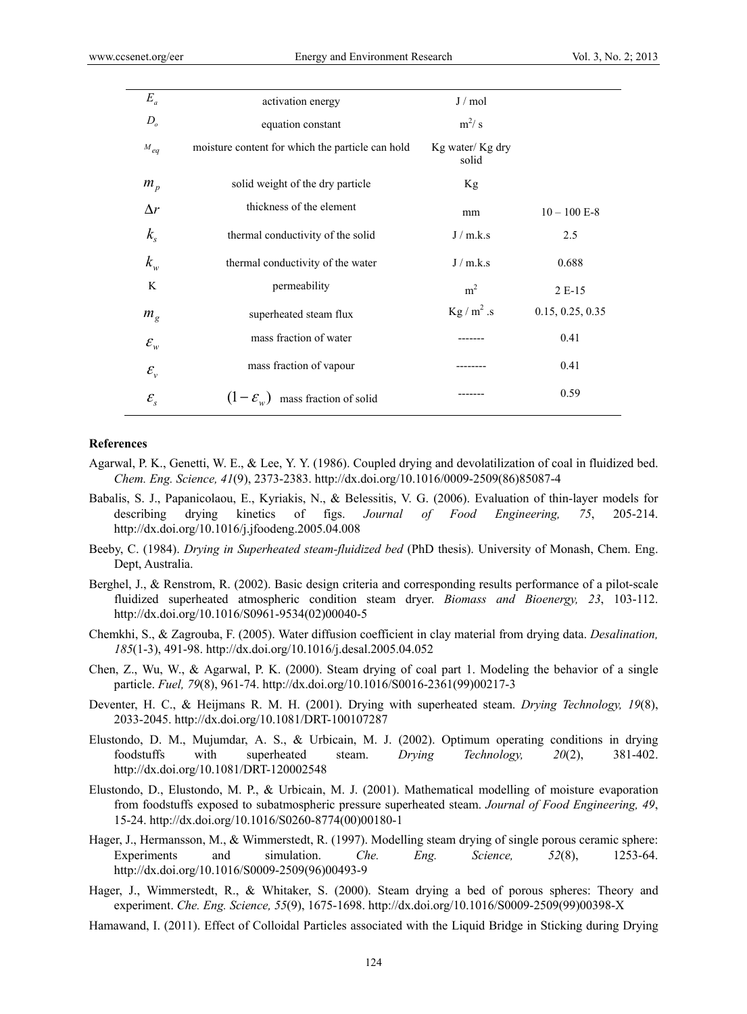| $E_a$               | activation energy                                | J/mol                    |                  |
|---------------------|--------------------------------------------------|--------------------------|------------------|
| $D_{o}$             | equation constant                                | $m^2/s$                  |                  |
| $M_{eq}$            | moisture content for which the particle can hold | Kg water/Kg dry<br>solid |                  |
| $m_p$               | solid weight of the dry particle                 | Kg                       |                  |
| $\Delta r$          | thickness of the element                         | mm                       | $10 - 100$ E-8   |
| $k_{\rm s}$         | thermal conductivity of the solid                | J/m.k.s                  | 2.5              |
| $k_{w}$             | thermal conductivity of the water                | J/m.k.s                  | 0.688            |
| K                   | permeability                                     | m <sup>2</sup>           | 2 E-15           |
| $m_{g}$             | superheated steam flux                           | $Kg/m^2.s$               | 0.15, 0.25, 0.35 |
| $\mathcal{E}_{w}$   | mass fraction of water                           |                          | 0.41             |
| $\mathcal{E}_{\nu}$ | mass fraction of vapour                          | ------                   | 0.41             |
| $\mathcal{E}_{s}$   | mass fraction of solid<br>$(1-\mathcal{E}_{w})$  |                          | 0.59             |

#### **References**

- Agarwal, P. K., Genetti, W. E., & Lee, Y. Y. (1986). Coupled drying and devolatilization of coal in fluidized bed. *Chem. Eng. Science, 41*(9), 2373-2383. http://dx.doi.org/10.1016/0009-2509(86)85087-4
- Babalis, S. J., Papanicolaou, E., Kyriakis, N., & Belessitis, V. G. (2006). Evaluation of thin-layer models for describing drying kinetics of figs. *Journal of Food Engineering, 75*, 205-214. http://dx.doi.org/10.1016/j.jfoodeng.2005.04.008
- Beeby, C. (1984). *Drying in Superheated steam-fluidized bed* (PhD thesis). University of Monash, Chem. Eng. Dept, Australia.
- Berghel, J., & Renstrom, R. (2002). Basic design criteria and corresponding results performance of a pilot-scale fluidized superheated atmospheric condition steam dryer. *Biomass and Bioenergy, 23*, 103-112. http://dx.doi.org/10.1016/S0961-9534(02)00040-5
- Chemkhi, S., & Zagrouba, F. (2005). Water diffusion coefficient in clay material from drying data. *Desalination, 185*(1-3), 491-98. http://dx.doi.org/10.1016/j.desal.2005.04.052
- Chen, Z., Wu, W., & Agarwal, P. K. (2000). Steam drying of coal part 1. Modeling the behavior of a single particle. *Fuel, 79*(8), 961-74. http://dx.doi.org/10.1016/S0016-2361(99)00217-3
- Deventer, H. C., & Heijmans R. M. H. (2001). Drying with superheated steam. *Drying Technology, 19*(8), 2033-2045. http://dx.doi.org/10.1081/DRT-100107287
- Elustondo, D. M., Mujumdar, A. S., & Urbicain, M. J. (2002). Optimum operating conditions in drying foodstuffs with superheated steam. *Drying Technology, 20*(2), 381-402. http://dx.doi.org/10.1081/DRT-120002548
- Elustondo, D., Elustondo, M. P., & Urbicain, M. J. (2001). Mathematical modelling of moisture evaporation from foodstuffs exposed to subatmospheric pressure superheated steam. *Journal of Food Engineering, 49*, 15-24. http://dx.doi.org/10.1016/S0260-8774(00)00180-1
- Hager, J., Hermansson, M., & Wimmerstedt, R. (1997). Modelling steam drying of single porous ceramic sphere: Experiments and simulation. *Che. Eng. Science, 52*(8), 1253-64. http://dx.doi.org/10.1016/S0009-2509(96)00493-9
- Hager, J., Wimmerstedt, R., & Whitaker, S. (2000). Steam drying a bed of porous spheres: Theory and experiment. *Che. Eng. Science, 55*(9), 1675-1698. http://dx.doi.org/10.1016/S0009-2509(99)00398-X
- Hamawand, I. (2011). Effect of Colloidal Particles associated with the Liquid Bridge in Sticking during Drying